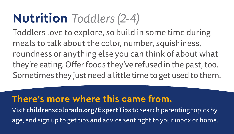## **Nutrition** *Toddlers (2-4)*

Toddlers love to explore, so build in some time during meals to talk about the color, number, squishiness, roundness or anything else you can think of about what they're eating. Offer foods they've refused in the past, too. Sometimes they just need a little time to get used to them.

#### **There's more where this came from.**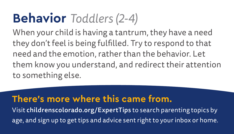## **Behavior** *Toddlers (2-4)*

When your child is having a tantrum, they have a need they don't feel is being fulfilled. Try to respond to that need and the emotion, rather than the behavior. Let them know you understand, and redirect their attention to something else.

### **There's more where this came from.**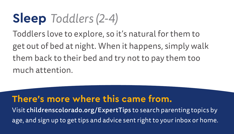### **Sleep** *Toddlers (2-4)*

Toddlers love to explore, so it's natural for them to get out of bed at night. When it happens, simply walk them back to their bed and try not to pay them too much attention.

### **There's more where this came from.**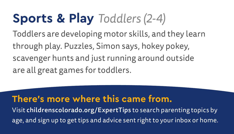## **Sports & Play** *Toddlers (2-4)*

Toddlers are developing motor skills, and they learn through play. Puzzles, Simon says, hokey pokey, scavenger hunts and just running around outside are all great games for toddlers.

#### **There's more where this came from.**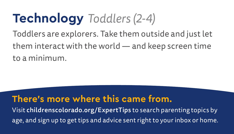## **Technology** *Toddlers (2-4)*

Toddlers are explorers. Take them outside and just let them interact with the world — and keep screen time to a minimum.

### **There's more where this came from.**